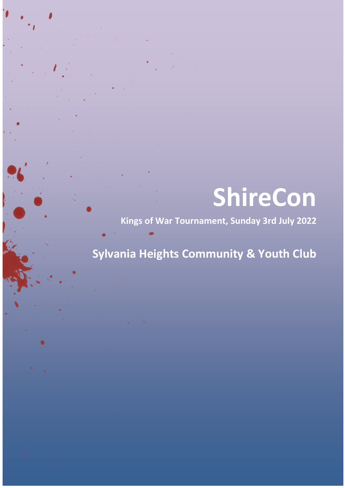# **ShireCon**

**Kings of War Tournament, Sunday 3rd July 2022**

# **Sylvania Heights Community & Youth Club**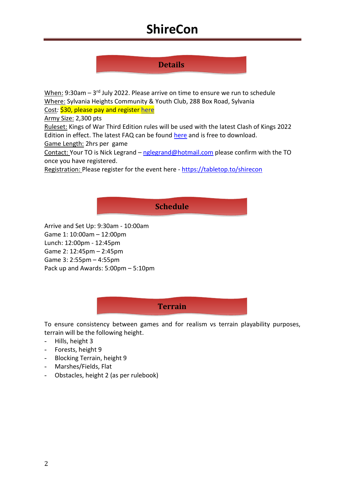## **ShireCon**

## **Details**

<u>When:</u> 9:30am – 3<sup>rd</sup> July 2022. Please arrive on time to ensure we run to schedule Where: Sylvania Heights Community & Youth Club, 288 Box Road, Sylvania

Cost*:* \$30, please pay and register [here](https://www.sutherlandshiregamers.org/events/shirecon-2022-kow/)

Army Size: 2,300 pts

Ruleset: Kings of War Third Edition rules will be used with the latest Clash of Kings 2022 Edition in effect. The latest FAQ can be found [here](about:blank) and is free to download.

Game Length: 2hrs per game

Contact: Your TO is Nick Legrand – [nglegrand@hotmail.com](about:blank) please confirm with the TO once you have registered.

Registration: Please register for the event here - [https://tabletop.to/shirecon](about:blank)

#### **Schedule**

Arrive and Set Up: 9:30am - 10:00am Game 1: 10:00am – 12:00pm Lunch: 12:00pm - 12:45pm Game 2: 12:45pm – 2:45pm Game 3: 2:55pm – 4:55pm Pack up and Awards: 5:00pm – 5:10pm

#### **Terrain**

To ensure consistency between games and for realism vs terrain playability purposes, terrain will be the following height.

- Hills, height 3
- Forests, height 9
- Blocking Terrain, height 9
- Marshes/Fields, Flat
- Obstacles, height 2 (as per rulebook)